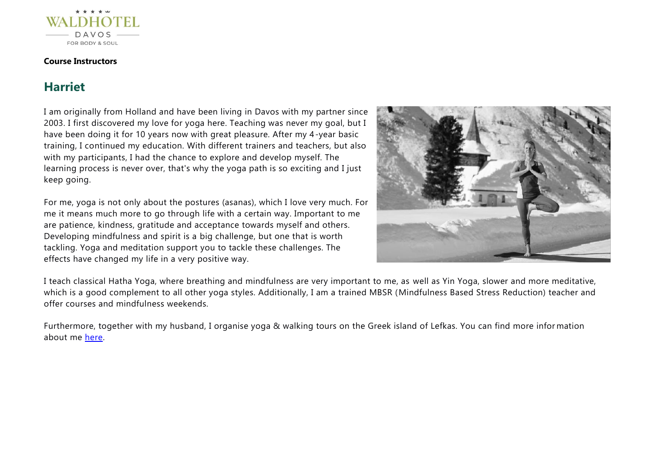

#### **Course Instructors**

# **Harriet**

I am originally from Holland and have been living in Davos with my partner since 2003. I first discovered my love for yoga here. Teaching was never my goal, but I have been doing it for 10 years now with great pleasure. After my 4-year basic training, I continued my education. With different trainers and teachers, but also with my participants, I had the chance to explore and develop myself. The learning process is never over, that's why the yoga path is so exciting and I just keep going.

For me, yoga is not only about the postures (asanas), which I love very much. For me it means much more to go through life with a certain way. Important to me are patience, kindness, gratitude and acceptance towards myself and others. Developing mindfulness and spirit is a big challenge, but one that is worth tackling. Yoga and meditation support you to tackle these challenges. The effects have changed my life in a very positive way.



I teach classical Hatha Yoga, where breathing and mindfulness are very important to me, as well as Yin Yoga, slower and more meditative, which is a good complement to all other yoga styles. Additionally, I am a trained MBSR (Mindfulness Based Stress Reduction) teacher and offer courses and mindfulness weekends.

Furthermore, together with my husband, I organise yoga & walking tours on the Greek island of Lefkas. You can find more infor mation about me [here.](https://harriet-grachten.com/)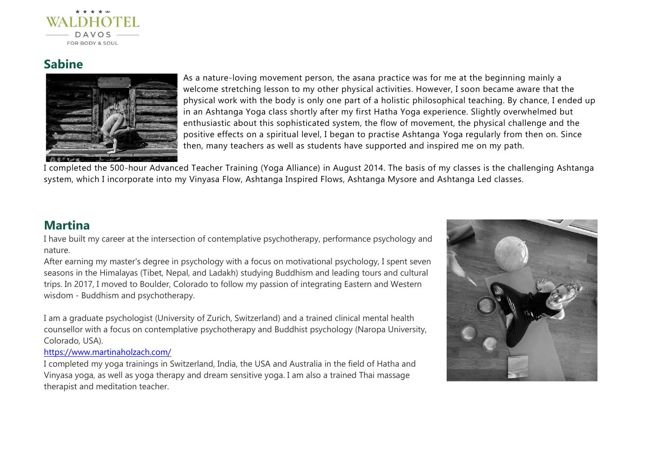

# **Sabine**



As a nature-loving movement person, the asana practice was for me at the beginning mainly a welcome stretching lesson to my other physical activities. However, I soon became aware that the physical work with the body is only one part of a holistic philosophical teaching. By chance, I ended up in an Ashtanga Yoga class shortly after my first Hatha Yoga experience. Slightly overwhelmed but enthusiastic about this sophisticated system, the flow of movement, the physical challenge and the positive effects on a spiritual level, I began to practise Ashtanga Yoga regularly from then on. Since then, many teachers as well as students have supported and inspired me on my path.

I completed the 500-hour Advanced Teacher Training (Yoga Alliance) in August 2014. The basis of my classes is the challenging Ashtanga system, which I incorporate into my Vinyasa Flow, Ashtanga Inspired Flows, Ashtanga Mysore and Ashtanga Led classes.

### **Martina**

I have built my career at the intersection of contemplative psychotherapy, performance psychology and nature.

After earning my master's degree in psychology with a focus on motivational psychology, I spent seven seasons in the Himalayas (Tibet, Nepal, and Ladakh) studying Buddhism and leading tours and cultural trips. In 2017, I moved to Boulder, Colorado to follow my passion of integrating Eastern and Western wisdom - Buddhism and psychotherapy.

I am a graduate psychologist (University of Zurich, Switzerland) and a trained clinical mental health counsellor with a focus on contemplative psychotherapy and Buddhist psychology (Naropa University, Colorado, USA).

#### <https://www.martinaholzach.com/>

I completed my yoga trainings in Switzerland, India, the USA and Australia in the field of Hatha and Vinyasa yoga, as well as yoga therapy and dream sensitive yoga. I am also a trained Thai massage therapist and meditation teacher.